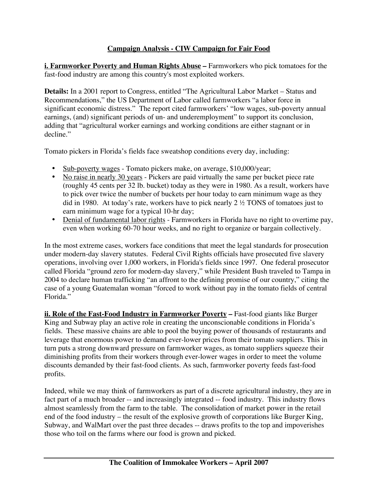## **Campaign Analysis - CIW Campaign for Fair Food**

**i. Farmworker Poverty and Human Rights Abuse –** Farmworkers who pick tomatoes for the fast-food industry are among this country's most exploited workers.

**Details:** In a 2001 report to Congress, entitled "The Agricultural Labor Market – Status and Recommendations," the US Department of Labor called farmworkers "a labor force in significant economic distress." The report cited farmworkers' "low wages, sub-poverty annual earnings, (and) significant periods of un- and underemployment" to support its conclusion, adding that "agricultural worker earnings and working conditions are either stagnant or in decline."

Tomato pickers in Florida's fields face sweatshop conditions every day, including:

- Sub-poverty wages Tomato pickers make, on average, \$10,000/year;
- No raise in nearly 30 years Pickers are paid virtually the same per bucket piece rate (roughly 45 cents per 32 lb. bucket) today as they were in 1980. As a result, workers have to pick over twice the number of buckets per hour today to earn minimum wage as they did in 1980. At today's rate, workers have to pick nearly 2 ½ TONS of tomatoes just to earn minimum wage for a typical 10-hr day;
- Denial of fundamental labor rights Farmworkers in Florida have no right to overtime pay, even when working 60-70 hour weeks, and no right to organize or bargain collectively.

In the most extreme cases, workers face conditions that meet the legal standards for prosecution under modern-day slavery statutes. Federal Civil Rights officials have prosecuted five slavery operations, involving over 1,000 workers, in Florida's fields since 1997. One federal prosecutor called Florida "ground zero for modern-day slavery," while President Bush traveled to Tampa in 2004 to declare human trafficking "an affront to the defining promise of our country," citing the case of a young Guatemalan woman "forced to work without pay in the tomato fields of central Florida."

**ii. Role of the Fast-Food Industry in Farmworker Poverty –** Fast-food giants like Burger King and Subway play an active role in creating the unconscionable conditions in Florida's fields. These massive chains are able to pool the buying power of thousands of restaurants and leverage that enormous power to demand ever-lower prices from their tomato suppliers. This in turn puts a strong downward pressure on farmworker wages, as tomato suppliers squeeze their diminishing profits from their workers through ever-lower wages in order to meet the volume discounts demanded by their fast-food clients. As such, farmworker poverty feeds fast-food profits.

Indeed, while we may think of farmworkers as part of a discrete agricultural industry, they are in fact part of a much broader -- and increasingly integrated -- food industry. This industry flows almost seamlessly from the farm to the table. The consolidation of market power in the retail end of the food industry – the result of the explosive growth of corporations like Burger King, Subway, and WalMart over the past three decades -- draws profits to the top and impoverishes those who toil on the farms where our food is grown and picked.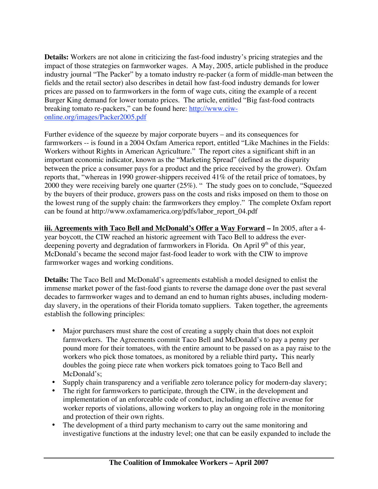**Details:** Workers are not alone in criticizing the fast-food industry's pricing strategies and the impact of those strategies on farmworker wages. A May, 2005, article published in the produce industry journal "The Packer" by a tomato industry re-packer (a form of middle-man between the fields and the retail sector) also describes in detail how fast-food industry demands for lower prices are passed on to farmworkers in the form of wage cuts, citing the example of a recent Burger King demand for lower tomato prices. The article, entitled "Big fast-food contracts breaking tomato re-packers," can be found here: http://www.ciwonline.org/images/Packer2005.pdf

Further evidence of the squeeze by major corporate buyers – and its consequences for farmworkers -- is found in a 2004 Oxfam America report, entitled "Like Machines in the Fields: Workers without Rights in American Agriculture." The report cites a significant shift in an important economic indicator, known as the "Marketing Spread" (defined as the disparity between the price a consumer pays for a product and the price received by the grower). Oxfam reports that, "whereas in 1990 grower-shippers received 41% of the retail price of tomatoes, by 2000 they were receiving barely one quarter (25%). " The study goes on to conclude, "Squeezed by the buyers of their produce, growers pass on the costs and risks imposed on them to those on the lowest rung of the supply chain: the farmworkers they employ." The complete Oxfam report can be found at http://www.oxfamamerica.org/pdfs/labor\_report\_04.pdf

**iii. Agreements with Taco Bell and McDonald's Offer a Way Forward –** In 2005, after a 4 year boycott, the CIW reached an historic agreement with Taco Bell to address the everdeepening poverty and degradation of farmworkers in Florida. On April 9<sup>th</sup> of this year, McDonald's became the second major fast-food leader to work with the CIW to improve farmworker wages and working conditions.

**Details:** The Taco Bell and McDonald's agreements establish a model designed to enlist the immense market power of the fast-food giants to reverse the damage done over the past several decades to farmworker wages and to demand an end to human rights abuses, including modernday slavery, in the operations of their Florida tomato suppliers. Taken together, the agreements establish the following principles:

- Major purchasers must share the cost of creating a supply chain that does not exploit farmworkers.The Agreements commit Taco Bell and McDonald's to pay a penny per pound more for their tomatoes, with the entire amount to be passed on as a pay raise to the workers who pick those tomatoes, as monitored by a reliable third party**.** This nearly doubles the going piece rate when workers pick tomatoes going to Taco Bell and McDonald's;
- Supply chain transparency and a verifiable zero tolerance policy for modern-day slavery;
- The right for farmworkers to participate, through the CIW, in the development and implementation of an enforceable code of conduct, including an effective avenue for worker reports of violations, allowing workers to play an ongoing role in the monitoring and protection of their own rights.
- The development of a third party mechanism to carry out the same monitoring and investigative functions at the industry level; one that can be easily expanded to include the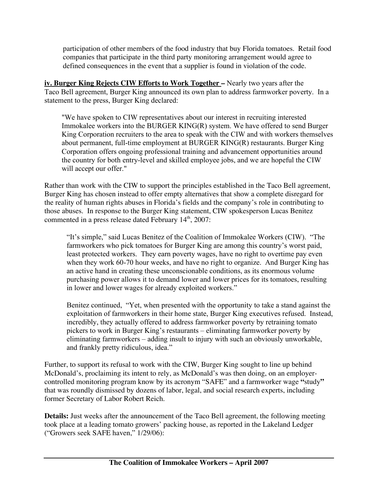participation of other members of the food industry that buy Florida tomatoes. Retail food companies that participate in the third party monitoring arrangement would agree to defined consequences in the event that a supplier is found in violation of the code.

**iv. Burger King Rejects CIW Efforts to Work Together –** Nearly two years after the Taco Bell agreement, Burger King announced its own plan to address farmworker poverty. In a statement to the press, Burger King declared:

"We have spoken to CIW representatives about our interest in recruiting interested Immokalee workers into the BURGER KING(R) system. We have offered to send Burger King Corporation recruiters to the area to speak with the CIW and with workers themselves about permanent, full-time employment at BURGER KING(R) restaurants. Burger King Corporation offers ongoing professional training and advancement opportunities around the country for both entry-level and skilled employee jobs, and we are hopeful the CIW will accept our offer."

Rather than work with the CIW to support the principles established in the Taco Bell agreement, Burger King has chosen instead to offer empty alternatives that show a complete disregard for the reality of human rights abuses in Florida's fields and the company's role in contributing to those abuses. In response to the Burger King statement, CIW spokesperson Lucas Benitez commented in a press release dated February 14<sup>th</sup>, 2007:

"It's simple," said Lucas Benitez of the Coalition of Immokalee Workers (CIW). "The farmworkers who pick tomatoes for Burger King are among this country's worst paid, least protected workers. They earn poverty wages, have no right to overtime pay even when they work 60-70 hour weeks, and have no right to organize. And Burger King has an active hand in creating these unconscionable conditions, as its enormous volume purchasing power allows it to demand lower and lower prices for its tomatoes, resulting in lower and lower wages for already exploited workers."

Benitez continued, "Yet, when presented with the opportunity to take a stand against the exploitation of farmworkers in their home state, Burger King executives refused. Instead, incredibly, they actually offered to address farmworker poverty by retraining tomato pickers to work in Burger King's restaurants – eliminating farmworker poverty by eliminating farmworkers – adding insult to injury with such an obviously unworkable, and frankly pretty ridiculous, idea."

Further, to support its refusal to work with the CIW, Burger King sought to line up behind McDonald's, proclaiming its intent to rely, as McDonald's was then doing, on an employercontrolled monitoring program know by its acronym "SAFE" and a farmworker wage **"**study**"** that was roundly dismissed by dozens of labor, legal, and social research experts, including former Secretary of Labor Robert Reich.

**Details:** Just weeks after the announcement of the Taco Bell agreement, the following meeting took place at a leading tomato growers' packing house, as reported in the Lakeland Ledger ("Growers seek SAFE haven," 1/29/06):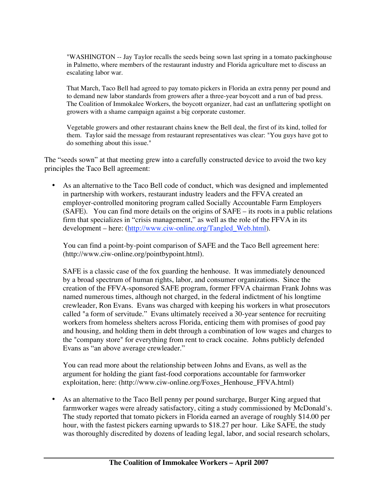"WASHINGTON -- Jay Taylor recalls the seeds being sown last spring in a tomato packinghouse in Palmetto, where members of the restaurant industry and Florida agriculture met to discuss an escalating labor war.

That March, Taco Bell had agreed to pay tomato pickers in Florida an extra penny per pound and to demand new labor standards from growers after a three-year boycott and a run of bad press. The Coalition of Immokalee Workers, the boycott organizer, had cast an unflattering spotlight on growers with a shame campaign against a big corporate customer.

Vegetable growers and other restaurant chains knew the Bell deal, the first of its kind, tolled for them. Taylor said the message from restaurant representatives was clear: "You guys have got to do something about this issue."

The "seeds sown" at that meeting grew into a carefully constructed device to avoid the two key principles the Taco Bell agreement:

• As an alternative to the Taco Bell code of conduct, which was designed and implemented in partnership with workers, restaurant industry leaders and the FFVA created an employer-controlled monitoring program called Socially Accountable Farm Employers (SAFE). You can find more details on the origins of SAFE – its roots in a public relations firm that specializes in "crisis management," as well as the role of the FFVA in its development – here: (http://www.ciw-online.org/Tangled\_Web.html).

You can find a point-by-point comparison of SAFE and the Taco Bell agreement here: (http://www.ciw-online.org/pointbypoint.html).

SAFE is a classic case of the fox guarding the henhouse. It was immediately denounced by a broad spectrum of human rights, labor, and consumer organizations. Since the creation of the FFVA-sponsored SAFE program, former FFVA chairman Frank Johns was named numerous times, although not charged, in the federal indictment of his longtime crewleader, Ron Evans. Evans was charged with keeping his workers in what prosecutors called "a form of servitude." Evans ultimately received a 30-year sentence for recruiting workers from homeless shelters across Florida, enticing them with promises of good pay and housing, and holding them in debt through a combination of low wages and charges to the "company store" for everything from rent to crack cocaine. Johns publicly defended Evans as "an above average crewleader."

You can read more about the relationship between Johns and Evans, as well as the argument for holding the giant fast-food corporations accountable for farmworker exploitation, here: (http://www.ciw-online.org/Foxes\_Henhouse\_FFVA.html)

• As an alternative to the Taco Bell penny per pound surcharge, Burger King argued that farmworker wages were already satisfactory, citing a study commissioned by McDonald's. The study reported that tomato pickers in Florida earned an average of roughly \$14.00 per hour, with the fastest pickers earning upwards to \$18.27 per hour. Like SAFE, the study was thoroughly discredited by dozens of leading legal, labor, and social research scholars,